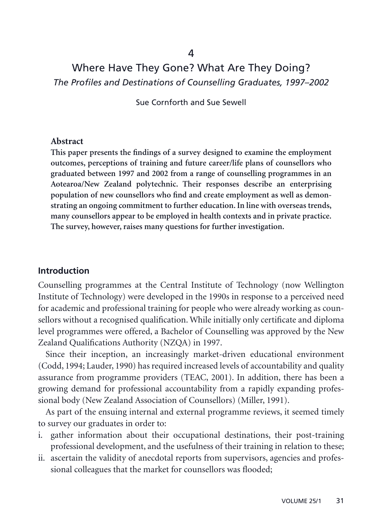# Where Have They Gone? What Are They Doing? *The Profiles and Destinations of Counselling Graduates, 1997–2002*

Sue Cornforth and Sue Sewell

#### **Abstract**

**This paper presents the findings of a survey designed to examine the employment outcomes, perceptions of training and future career/life plans of counsellors who graduated between 1997 and 2002 from a range of counselling programmes in an Aotearoa/New Zealand polytechnic. Their responses describe an enterprising population of new counsellors who find and create employment as well as demonstrating an ongoing commitment to further education. In line with overseas trends, many counsellors appear to be employed in health contexts and in private practice. The survey, however, raises many questions for further investigation.**

#### **Introduction**

Counselling programmes at the Central Institute of Technology (now Wellington Institute of Technology) were developed in the 1990s in response to a perceived need for academic and professional training for people who were already working as counsellors without a recognised qualification. While initially only certificate and diploma level programmes were offered, a Bachelor of Counselling was approved by the New Zealand Qualifications Authority (NZQA) in 1997.

Since their inception, an increasingly market-driven educational environment (Codd, 1994; Lauder, 1990) has required increased levels of accountability and quality assurance from programme providers (TEAC, 2001). In addition, there has been a growing demand for professional accountability from a rapidly expanding professional body (New Zealand Association of Counsellors) (Miller, 1991).

As part of the ensuing internal and external programme reviews, it seemed timely to survey our graduates in order to:

- i. gather information about their occupational destinations, their post-training professional development, and the usefulness of their training in relation to these;
- ii. ascertain the validity of anecdotal reports from supervisors, agencies and professional colleagues that the market for counsellors was flooded;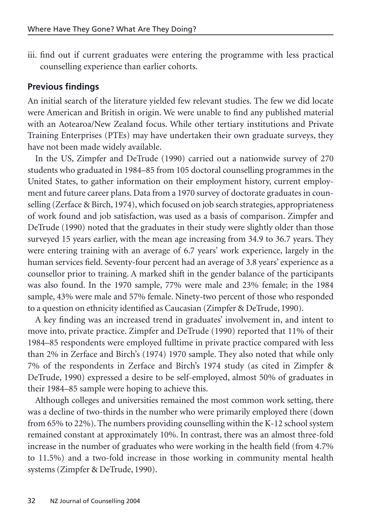iii. find out if current graduates were entering the programme with less practical counselling experience than earlier cohorts.

## **Previous findings**

An initial search of the literature yielded few relevant studies. The few we did locate were American and British in origin. We were unable to find any published material with an Aotearoa/New Zealand focus. While other tertiary institutions and Private Training Enterprises (PTEs) may have undertaken their own graduate surveys, they have not been made widely available.

In the US, Zimpfer and DeTrude (1990) carried out a nationwide survey of 270 students who graduated in 1984–85 from 105 doctoral counselling programmes in the United States, to gather information on their employment history, current employment and future career plans. Data from a 1970 survey of doctorate graduates in counselling (Zerface & Birch, 1974), which focused on job search strategies, appropriateness of work found and job satisfaction, was used as a basis of comparison. Zimpfer and DeTrude (1990) noted that the graduates in their study were slightly older than those surveyed 15 years earlier, with the mean age increasing from 34.9 to 36.7 years. They were entering training with an average of 6.7 years' work experience, largely in the human services field. Seventy-four percent had an average of 3.8 years' experience as a counsellor prior to training. A marked shift in the gender balance of the participants was also found. In the 1970 sample, 77% were male and 23% female; in the 1984 sample, 43% were male and 57% female. Ninety-two percent of those who responded to a question on ethnicity identified as Caucasian (Zimpfer & DeTrude, 1990).

A key finding was an increased trend in graduates' involvement in, and intent to move into, private practice. Zimpfer and DeTrude (1990) reported that 11% of their 1984–85 respondents were employed fulltime in private practice compared with less than 2% in Zerface and Birch's (1974) 1970 sample. They also noted that while only 7% of the respondents in Zerface and Birch's 1974 study (as cited in Zimpfer & DeTrude, 1990) expressed a desire to be self-employed, almost 50% of graduates in their 1984–85 sample were hoping to achieve this.

Although colleges and universities remained the most common work setting, there was a decline of two-thirds in the number who were primarily employed there (down from 65% to 22%). The numbers providing counselling within the K-12 school system remained constant at approximately 10%. In contrast, there was an almost three-fold increase in the number of graduates who were working in the health field (from 4.7% to 11.5%) and a two-fold increase in those working in community mental health systems (Zimpfer & DeTrude, 1990).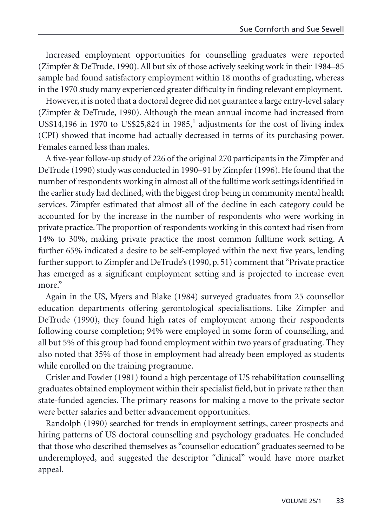Increased employment opportunities for counselling graduates were reported (Zimpfer & DeTrude, 1990). All but six of those actively seeking work in their 1984–85 sample had found satisfactory employment within 18 months of graduating, whereas in the 1970 study many experienced greater difficulty in finding relevant employment.

However, it is noted that a doctoral degree did not guarantee a large entry-level salary (Zimpfer & DeTrude, 1990). Although the mean annual income had increased from US\$14,196 in 1970 to US\$25,824 in 1985,<sup>1</sup> adjustments for the cost of living index (CPI) showed that income had actually decreased in terms of its purchasing power. Females earned less than males.

A five-year follow-up study of 226 of the original 270 participants in the Zimpfer and DeTrude (1990) study was conducted in 1990–91 by Zimpfer (1996). He found that the number of respondents working in almost all of the fulltime work settings identified in the earlier study had declined, with the biggest drop being in community mental health services. Zimpfer estimated that almost all of the decline in each category could be accounted for by the increase in the number of respondents who were working in private practice. The proportion of respondents working in this context had risen from 14% to 30%, making private practice the most common fulltime work setting. A further 65% indicated a desire to be self-employed within the next five years, lending further support to Zimpfer and DeTrude's (1990, p. 51) comment that "Private practice has emerged as a significant employment setting and is projected to increase even more."

Again in the US, Myers and Blake (1984) surveyed graduates from 25 counsellor education departments offering gerontological specialisations. Like Zimpfer and DeTrude (1990), they found high rates of employment among their respondents following course completion; 94% were employed in some form of counselling, and all but 5% of this group had found employment within two years of graduating. They also noted that 35% of those in employment had already been employed as students while enrolled on the training programme.

Crisler and Fowler (1981) found a high percentage of US rehabilitation counselling graduates obtained employment within their specialist field, but in private rather than state-funded agencies. The primary reasons for making a move to the private sector were better salaries and better advancement opportunities.

Randolph (1990) searched for trends in employment settings, career prospects and hiring patterns of US doctoral counselling and psychology graduates. He concluded that those who described themselves as "counsellor education" graduates seemed to be underemployed, and suggested the descriptor "clinical" would have more market appeal.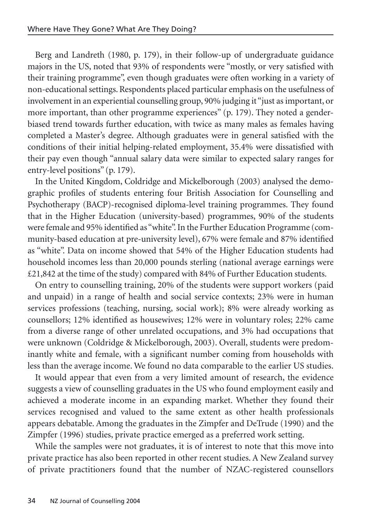Berg and Landreth (1980, p. 179), in their follow-up of undergraduate guidance majors in the US, noted that 93% of respondents were "mostly, or very satisfied with their training programme", even though graduates were often working in a variety of non-educational settings. Respondents placed particular emphasis on the usefulness of involvement in an experiential counselling group, 90% judging it "just as important, or more important, than other programme experiences" (p. 179). They noted a genderbiased trend towards further education, with twice as many males as females having completed a Master's degree. Although graduates were in general satisfied with the conditions of their initial helping-related employment, 35.4% were dissatisfied with their pay even though "annual salary data were similar to expected salary ranges for entry-level positions" (p. 179).

In the United Kingdom, Coldridge and Mickelborough (2003) analysed the demographic profiles of students entering four British Association for Counselling and Psychotherapy (BACP)-recognised diploma-level training programmes. They found that in the Higher Education (university-based) programmes, 90% of the students were female and 95% identified as "white". In the Further Education Programme (community-based education at pre-university level), 67% were female and 87% identified as "white". Data on income showed that 54% of the Higher Education students had household incomes less than 20,000 pounds sterling (national average earnings were £21,842 at the time of the study) compared with 84% of Further Education students.

On entry to counselling training, 20% of the students were support workers (paid and unpaid) in a range of health and social service contexts; 23% were in human services professions (teaching, nursing, social work); 8% were already working as counsellors; 12% identified as housewives; 12% were in voluntary roles; 22% came from a diverse range of other unrelated occupations, and 3% had occupations that were unknown (Coldridge & Mickelborough, 2003). Overall, students were predominantly white and female, with a significant number coming from households with less than the average income. We found no data comparable to the earlier US studies.

It would appear that even from a very limited amount of research, the evidence suggests a view of counselling graduates in the US who found employment easily and achieved a moderate income in an expanding market. Whether they found their services recognised and valued to the same extent as other health professionals appears debatable. Among the graduates in the Zimpfer and DeTrude (1990) and the Zimpfer (1996) studies, private practice emerged as a preferred work setting.

While the samples were not graduates, it is of interest to note that this move into private practice has also been reported in other recent studies. A New Zealand survey of private practitioners found that the number of NZAC-registered counsellors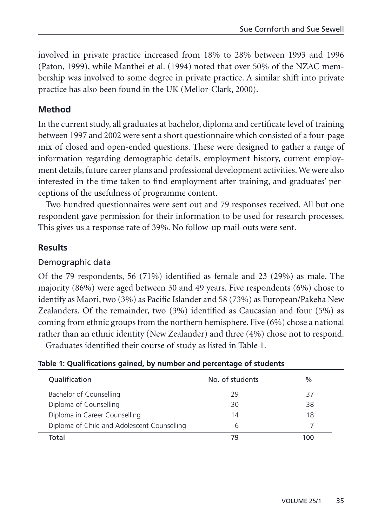involved in private practice increased from 18% to 28% between 1993 and 1996 (Paton, 1999), while Manthei et al. (1994) noted that over 50% of the NZAC membership was involved to some degree in private practice. A similar shift into private practice has also been found in the UK (Mellor-Clark, 2000).

## **Method**

In the current study, all graduates at bachelor, diploma and certificate level of training between 1997 and 2002 were sent a short questionnaire which consisted of a four-page mix of closed and open-ended questions. These were designed to gather a range of information regarding demographic details, employment history, current employment details, future career plans and professional development activities. We were also interested in the time taken to find employment after training, and graduates' perceptions of the usefulness of programme content.

Two hundred questionnaires were sent out and 79 responses received. All but one respondent gave permission for their information to be used for research processes. This gives us a response rate of 39%. No follow-up mail-outs were sent.

## **Results**

#### Demographic data

Of the 79 respondents, 56 (71%) identified as female and 23 (29%) as male. The majority (86%) were aged between 30 and 49 years. Five respondents (6%) chose to identify as Maori, two (3%) as Pacific Islander and 58 (73%) as European/Pakeha New Zealanders. Of the remainder, two (3%) identified as Caucasian and four (5%) as coming from ethnic groups from the northern hemisphere. Five (6%) chose a national rather than an ethnic identity (New Zealander) and three (4%) chose not to respond.

Graduates identified their course of study as listed in Table 1.

| Table 1: Qualifications gained, by number and percentage of students |  |  |
|----------------------------------------------------------------------|--|--|
|----------------------------------------------------------------------|--|--|

| Qualification                               | No. of students | %   |
|---------------------------------------------|-----------------|-----|
| Bachelor of Counselling                     | 29              | 37  |
| Diploma of Counselling                      | 30              | 38  |
| Diploma in Career Counselling               | 14              | 18  |
| Diploma of Child and Adolescent Counselling | h               |     |
| Total                                       | 79              | 100 |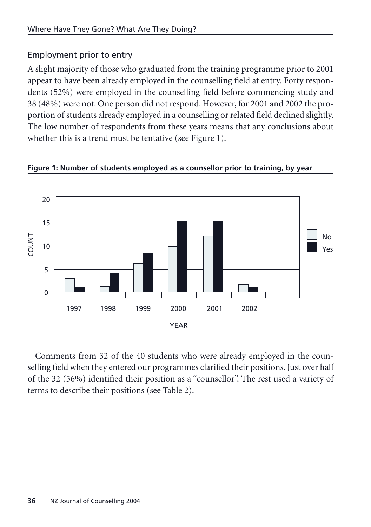## Employment prior to entry

A slight majority of those who graduated from the training programme prior to 2001 appear to have been already employed in the counselling field at entry. Forty respondents (52%) were employed in the counselling field before commencing study and 38 (48%) were not. One person did not respond. However, for 2001 and 2002 the proportion of students already employed in a counselling or related field declined slightly. The low number of respondents from these years means that any conclusions about whether this is a trend must be tentative (see Figure 1).



**Figure 1: Number of students employed as a counsellor prior to training, by year** 

Comments from 32 of the 40 students who were already employed in the counselling field when they entered our programmes clarified their positions. Just over half of the 32 (56%) identified their position as a "counsellor". The rest used a variety of terms to describe their positions (see Table 2).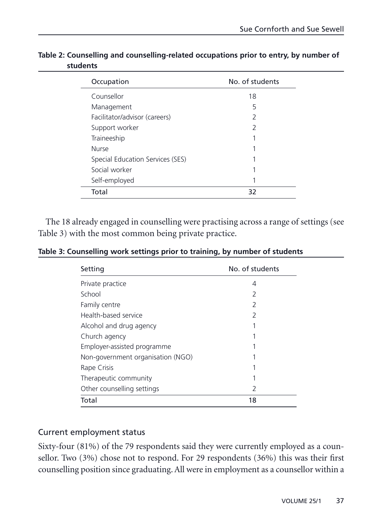| Occupation                       | No. of students |
|----------------------------------|-----------------|
| Counsellor                       | 18              |
| Management                       | 5               |
| Facilitator/advisor (careers)    | 2               |
| Support worker                   | $\mathcal{P}$   |
| Traineeship                      |                 |
| <b>Nurse</b>                     |                 |
| Special Education Services (SES) |                 |
| Social worker                    |                 |
| Self-employed                    |                 |
| Total                            | 32              |

**Table 2: Counselling and counselling-related occupations prior to entry, by number of students**

The 18 already engaged in counselling were practising across a range of settings (see Table 3) with the most common being private practice.

| Table 3: Counselling work settings prior to training, by number of students |  |  |  |  |
|-----------------------------------------------------------------------------|--|--|--|--|
|-----------------------------------------------------------------------------|--|--|--|--|

| Setting                           | No. of students |
|-----------------------------------|-----------------|
| Private practice                  | 4               |
| School                            | 2               |
| Family centre                     | 2               |
| Health-based service              | 2               |
| Alcohol and drug agency           |                 |
| Church agency                     |                 |
| Employer-assisted programme       |                 |
| Non-government organisation (NGO) |                 |
| Rape Crisis                       |                 |
| Therapeutic community             | 1               |
| Other counselling settings        | 2               |
| Total                             | 18              |

#### Current employment status

Sixty-four (81%) of the 79 respondents said they were currently employed as a counsellor. Two (3%) chose not to respond. For 29 respondents (36%) this was their first counselling position since graduating. All were in employment as a counsellor within a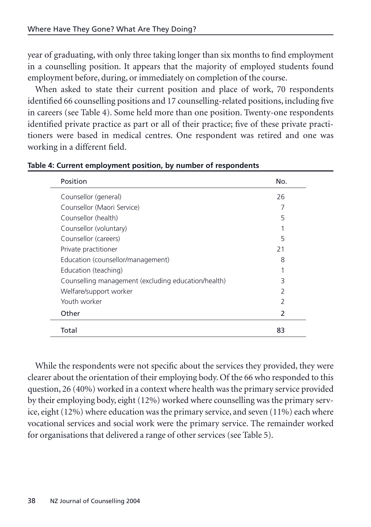year of graduating, with only three taking longer than six months to find employment in a counselling position. It appears that the majority of employed students found employment before, during, or immediately on completion of the course.

When asked to state their current position and place of work, 70 respondents identified 66 counselling positions and 17 counselling-related positions, including five in careers (see Table 4). Some held more than one position. Twenty-one respondents identified private practice as part or all of their practice; five of these private practitioners were based in medical centres. One respondent was retired and one was working in a different field.

| Position                                            | No.            |
|-----------------------------------------------------|----------------|
| Counsellor (general)                                | 26             |
| Counsellor (Maori Service)                          |                |
| Counsellor (health)                                 | 5              |
| Counsellor (voluntary)                              |                |
| Counsellor (careers)                                | 5              |
| Private practitioner                                | 21             |
| Education (counsellor/management)                   | 8              |
| Education (teaching)                                |                |
| Counselling management (excluding education/health) | 3              |
| Welfare/support worker                              | $\overline{2}$ |
| Youth worker                                        | $\mathcal{P}$  |
| Other                                               | $\mathcal{P}$  |
| Total                                               | 83             |

**Table 4: Current employment position, by number of respondents** 

While the respondents were not specific about the services they provided, they were clearer about the orientation of their employing body. Of the 66 who responded to this question, 26 (40%) worked in a context where health was the primary service provided by their employing body, eight (12%) worked where counselling was the primary service, eight (12%) where education was the primary service, and seven (11%) each where vocational services and social work were the primary service. The remainder worked for organisations that delivered a range of other services (see Table 5).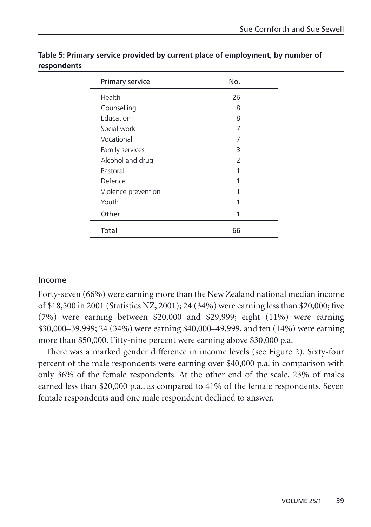| Primary service     | No.           |  |
|---------------------|---------------|--|
| Health              | 26            |  |
| Counselling         | 8             |  |
| Education           | 8             |  |
| Social work         | 7             |  |
| Vocational          | 7             |  |
| Family services     | 3             |  |
| Alcohol and drug    | $\mathcal{P}$ |  |
| Pastoral            |               |  |
| Defence             |               |  |
| Violence prevention |               |  |
| Youth               |               |  |
| Other               |               |  |
| Total               | 66            |  |

**Table 5: Primary service provided by current place of employment, by number of respondents**

### Income

Forty-seven (66%) were earning more than the New Zealand national median income of \$18,500 in 2001 (Statistics NZ, 2001); 24 (34%) were earning less than \$20,000; five (7%) were earning between \$20,000 and \$29,999; eight (11%) were earning \$30,000–39,999; 24 (34%) were earning \$40,000–49,999, and ten (14%) were earning more than \$50,000. Fifty-nine percent were earning above \$30,000 p.a.

There was a marked gender difference in income levels (see Figure 2). Sixty-four percent of the male respondents were earning over \$40,000 p.a. in comparison with only 36% of the female respondents. At the other end of the scale, 23% of males earned less than \$20,000 p.a., as compared to 41% of the female respondents. Seven female respondents and one male respondent declined to answer.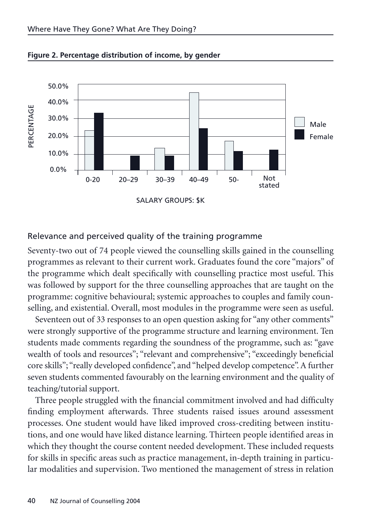

#### **Figure 2. Percentage distribution of income, by gender**

#### Relevance and perceived quality of the training programme

Seventy-two out of 74 people viewed the counselling skills gained in the counselling programmes as relevant to their current work. Graduates found the core "majors" of the programme which dealt specifically with counselling practice most useful. This was followed by support for the three counselling approaches that are taught on the programme: cognitive behavioural; systemic approaches to couples and family counselling, and existential. Overall, most modules in the programme were seen as useful.

Seventeen out of 33 responses to an open question asking for "any other comments" were strongly supportive of the programme structure and learning environment. Ten students made comments regarding the soundness of the programme, such as: "gave wealth of tools and resources"; "relevant and comprehensive"; "exceedingly beneficial core skills"; "really developed confidence", and "helped develop competence". A further seven students commented favourably on the learning environment and the quality of teaching/tutorial support.

Three people struggled with the financial commitment involved and had difficulty finding employment afterwards. Three students raised issues around assessment processes. One student would have liked improved cross-crediting between institutions, and one would have liked distance learning. Thirteen people identified areas in which they thought the course content needed development. These included requests for skills in specific areas such as practice management, in-depth training in particular modalities and supervision. Two mentioned the management of stress in relation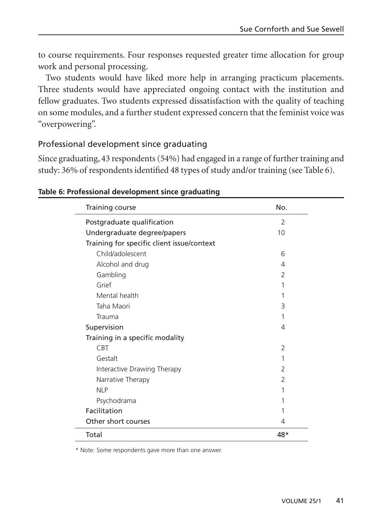to course requirements. Four responses requested greater time allocation for group work and personal processing.

Two students would have liked more help in arranging practicum placements. Three students would have appreciated ongoing contact with the institution and fellow graduates. Two students expressed dissatisfaction with the quality of teaching on some modules, and a further student expressed concern that the feminist voice was "overpowering".

### Professional development since graduating

Since graduating, 43 respondents (54%) had engaged in a range of further training and study: 36% of respondents identified 48 types of study and/or training (see Table 6).

| Training course                            | No.            |
|--------------------------------------------|----------------|
| Postgraduate qualification                 | $\overline{2}$ |
| Undergraduate degree/papers                | 10             |
| Training for specific client issue/context |                |
| Child/adolescent                           | 6              |
| Alcohol and drug                           | 4              |
| Gambling                                   | 2              |
| Grief                                      |                |
| Mental health                              |                |
| Taha Maori                                 | 3              |
| Trauma                                     |                |
| Supervision                                | 4              |
| Training in a specific modality            |                |
| <b>CBT</b>                                 | $\overline{2}$ |
| Gestalt                                    |                |
| Interactive Drawing Therapy                | $\overline{2}$ |
| Narrative Therapy                          | 2              |
| <b>NLP</b>                                 |                |
| Psychodrama                                |                |
| Facilitation                               |                |
| Other short courses                        | 4              |
| Total                                      | 48*            |

#### **Table 6: Professional development since graduating**

\* Note: Some respondents gave more than one answer.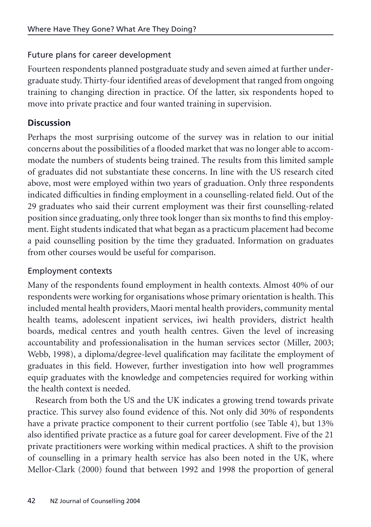## Future plans for career development

Fourteen respondents planned postgraduate study and seven aimed at further undergraduate study. Thirty-four identified areas of development that ranged from ongoing training to changing direction in practice. Of the latter, six respondents hoped to move into private practice and four wanted training in supervision.

## **Discussion**

Perhaps the most surprising outcome of the survey was in relation to our initial concerns about the possibilities of a flooded market that was no longer able to accommodate the numbers of students being trained. The results from this limited sample of graduates did not substantiate these concerns. In line with the US research cited above, most were employed within two years of graduation. Only three respondents indicated difficulties in finding employment in a counselling-related field. Out of the 29 graduates who said their current employment was their first counselling-related position since graduating, only three took longer than six months to find this employment. Eight students indicated that what began as a practicum placement had become a paid counselling position by the time they graduated. Information on graduates from other courses would be useful for comparison.

## Employment contexts

Many of the respondents found employment in health contexts. Almost 40% of our respondents were working for organisations whose primary orientation is health. This included mental health providers, Maori mental health providers, community mental health teams, adolescent inpatient services, iwi health providers, district health boards, medical centres and youth health centres. Given the level of increasing accountability and professionalisation in the human services sector (Miller, 2003; Webb, 1998), a diploma/degree-level qualification may facilitate the employment of graduates in this field. However, further investigation into how well programmes equip graduates with the knowledge and competencies required for working within the health context is needed.

Research from both the US and the UK indicates a growing trend towards private practice. This survey also found evidence of this. Not only did 30% of respondents have a private practice component to their current portfolio (see Table 4), but 13% also identified private practice as a future goal for career development. Five of the 21 private practitioners were working within medical practices. A shift to the provision of counselling in a primary health service has also been noted in the UK, where Mellor-Clark (2000) found that between 1992 and 1998 the proportion of general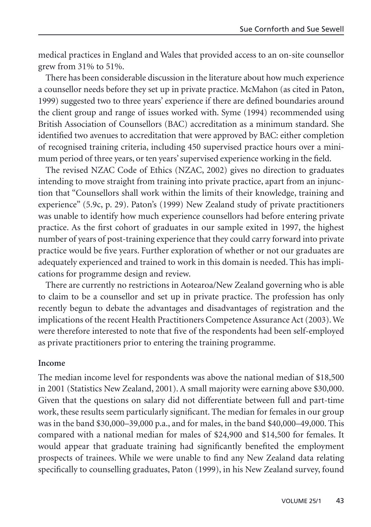medical practices in England and Wales that provided access to an on-site counsellor grew from 31% to 51%.

There has been considerable discussion in the literature about how much experience a counsellor needs before they set up in private practice. McMahon (as cited in Paton, 1999) suggested two to three years' experience if there are defined boundaries around the client group and range of issues worked with. Syme (1994) recommended using British Association of Counsellors (BAC) accreditation as a minimum standard. She identified two avenues to accreditation that were approved by BAC: either completion of recognised training criteria, including 450 supervised practice hours over a minimum period of three years, or ten years' supervised experience working in the field.

The revised NZAC Code of Ethics (NZAC, 2002) gives no direction to graduates intending to move straight from training into private practice, apart from an injunction that "Counsellors shall work within the limits of their knowledge, training and experience" (5.9c, p. 29). Paton's (1999) New Zealand study of private practitioners was unable to identify how much experience counsellors had before entering private practice. As the first cohort of graduates in our sample exited in 1997, the highest number of years of post-training experience that they could carry forward into private practice would be five years. Further exploration of whether or not our graduates are adequately experienced and trained to work in this domain is needed. This has implications for programme design and review.

There are currently no restrictions in Aotearoa/New Zealand governing who is able to claim to be a counsellor and set up in private practice. The profession has only recently begun to debate the advantages and disadvantages of registration and the implications of the recent Health Practitioners Competence Assurance Act (2003). We were therefore interested to note that five of the respondents had been self-employed as private practitioners prior to entering the training programme.

#### **Income**

The median income level for respondents was above the national median of \$18,500 in 2001 (Statistics New Zealand, 2001). A small majority were earning above \$30,000. Given that the questions on salary did not differentiate between full and part-time work, these results seem particularly significant. The median for females in our group was in the band \$30,000–39,000 p.a., and for males, in the band \$40,000–49,000. This compared with a national median for males of \$24,900 and \$14,500 for females. It would appear that graduate training had significantly benefited the employment prospects of trainees. While we were unable to find any New Zealand data relating specifically to counselling graduates, Paton (1999), in his New Zealand survey, found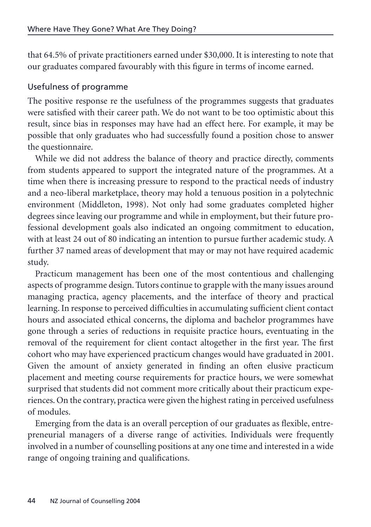that 64.5% of private practitioners earned under \$30,000. It is interesting to note that our graduates compared favourably with this figure in terms of income earned.

## Usefulness of programme

The positive response re the usefulness of the programmes suggests that graduates were satisfied with their career path. We do not want to be too optimistic about this result, since bias in responses may have had an effect here. For example, it may be possible that only graduates who had successfully found a position chose to answer the questionnaire.

While we did not address the balance of theory and practice directly, comments from students appeared to support the integrated nature of the programmes. At a time when there is increasing pressure to respond to the practical needs of industry and a neo-liberal marketplace, theory may hold a tenuous position in a polytechnic environment (Middleton, 1998). Not only had some graduates completed higher degrees since leaving our programme and while in employment, but their future professional development goals also indicated an ongoing commitment to education, with at least 24 out of 80 indicating an intention to pursue further academic study. A further 37 named areas of development that may or may not have required academic study.

Practicum management has been one of the most contentious and challenging aspects of programme design. Tutors continue to grapple with the many issues around managing practica, agency placements, and the interface of theory and practical learning. In response to perceived difficulties in accumulating sufficient client contact hours and associated ethical concerns, the diploma and bachelor programmes have gone through a series of reductions in requisite practice hours, eventuating in the removal of the requirement for client contact altogether in the first year. The first cohort who may have experienced practicum changes would have graduated in 2001. Given the amount of anxiety generated in finding an often elusive practicum placement and meeting course requirements for practice hours, we were somewhat surprised that students did not comment more critically about their practicum experiences. On the contrary, practica were given the highest rating in perceived usefulness of modules.

Emerging from the data is an overall perception of our graduates as flexible, entrepreneurial managers of a diverse range of activities. Individuals were frequently involved in a number of counselling positions at any one time and interested in a wide range of ongoing training and qualifications.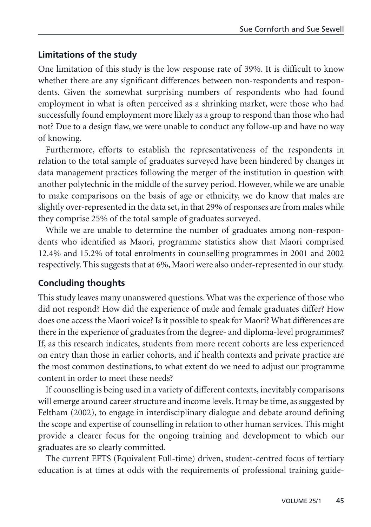### **Limitations of the study**

One limitation of this study is the low response rate of 39%. It is difficult to know whether there are any significant differences between non-respondents and respondents. Given the somewhat surprising numbers of respondents who had found employment in what is often perceived as a shrinking market, were those who had successfully found employment more likely as a group to respond than those who had not? Due to a design flaw, we were unable to conduct any follow-up and have no way of knowing.

Furthermore, efforts to establish the representativeness of the respondents in relation to the total sample of graduates surveyed have been hindered by changes in data management practices following the merger of the institution in question with another polytechnic in the middle of the survey period. However, while we are unable to make comparisons on the basis of age or ethnicity, we do know that males are slightly over-represented in the data set, in that 29% of responses are from males while they comprise 25% of the total sample of graduates surveyed.

While we are unable to determine the number of graduates among non-respondents who identified as Maori, programme statistics show that Maori comprised 12.4% and 15.2% of total enrolments in counselling programmes in 2001 and 2002 respectively. This suggests that at 6%, Maori were also under-represented in our study.

### **Concluding thoughts**

This study leaves many unanswered questions. What was the experience of those who did not respond? How did the experience of male and female graduates differ? How does one access the Maori voice? Is it possible to speak for Maori? What differences are there in the experience of graduates from the degree- and diploma-level programmes? If, as this research indicates, students from more recent cohorts are less experienced on entry than those in earlier cohorts, and if health contexts and private practice are the most common destinations, to what extent do we need to adjust our programme content in order to meet these needs?

If counselling is being used in a variety of different contexts, inevitably comparisons will emerge around career structure and income levels. It may be time, as suggested by Feltham (2002), to engage in interdisciplinary dialogue and debate around defining the scope and expertise of counselling in relation to other human services. This might provide a clearer focus for the ongoing training and development to which our graduates are so clearly committed.

The current EFTS (Equivalent Full-time) driven, student-centred focus of tertiary education is at times at odds with the requirements of professional training guide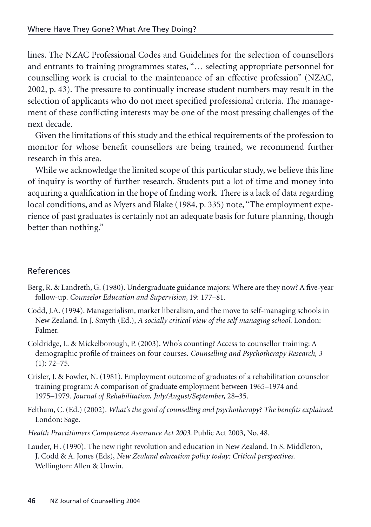lines. The NZAC Professional Codes and Guidelines for the selection of counsellors and entrants to training programmes states, "… selecting appropriate personnel for counselling work is crucial to the maintenance of an effective profession" (NZAC, 2002, p. 43). The pressure to continually increase student numbers may result in the selection of applicants who do not meet specified professional criteria. The management of these conflicting interests may be one of the most pressing challenges of the next decade.

Given the limitations of this study and the ethical requirements of the profession to monitor for whose benefit counsellors are being trained, we recommend further research in this area.

While we acknowledge the limited scope of this particular study, we believe this line of inquiry is worthy of further research. Students put a lot of time and money into acquiring a qualification in the hope of finding work. There is a lack of data regarding local conditions, and as Myers and Blake (1984, p. 335) note, "The employment experience of past graduates is certainly not an adequate basis for future planning, though better than nothing."

### References

- Berg, R. & Landreth, G. (1980). Undergraduate guidance majors: Where are they now? A five-year follow-up. *Counselor Education and Supervision*, 19: 177–81.
- Codd, J.A. (1994). Managerialism, market liberalism, and the move to self-managing schools in New Zealand. In J. Smyth (Ed.), *A socially critical view of the self managing school.* London: Falmer.
- Coldridge, L. & Mickelborough, P. (2003). Who's counting? Access to counsellor training: A demographic profile of trainees on four courses. *Counselling and Psychotherapy Research, 3*  $(1): 72 - 75.$
- Crisler, J. & Fowler, N. (1981). Employment outcome of graduates of a rehabilitation counselor training program: A comparison of graduate employment between 1965–1974 and 1975–1979. *Journal of Rehabilitation, July/August/September,* 28–35.
- Feltham, C. (Ed.) (2002). *What's the good of counselling and psychotherapy? The benefits explained.* London: Sage.
- *Health Practitioners Competence Assurance Act 2003*. Public Act 2003, No. 48.
- Lauder, H. (1990). The new right revolution and education in New Zealand. In S. Middleton, J. Codd & A. Jones (Eds), *New Zealand education policy today: Critical perspectives.* Wellington: Allen & Unwin.